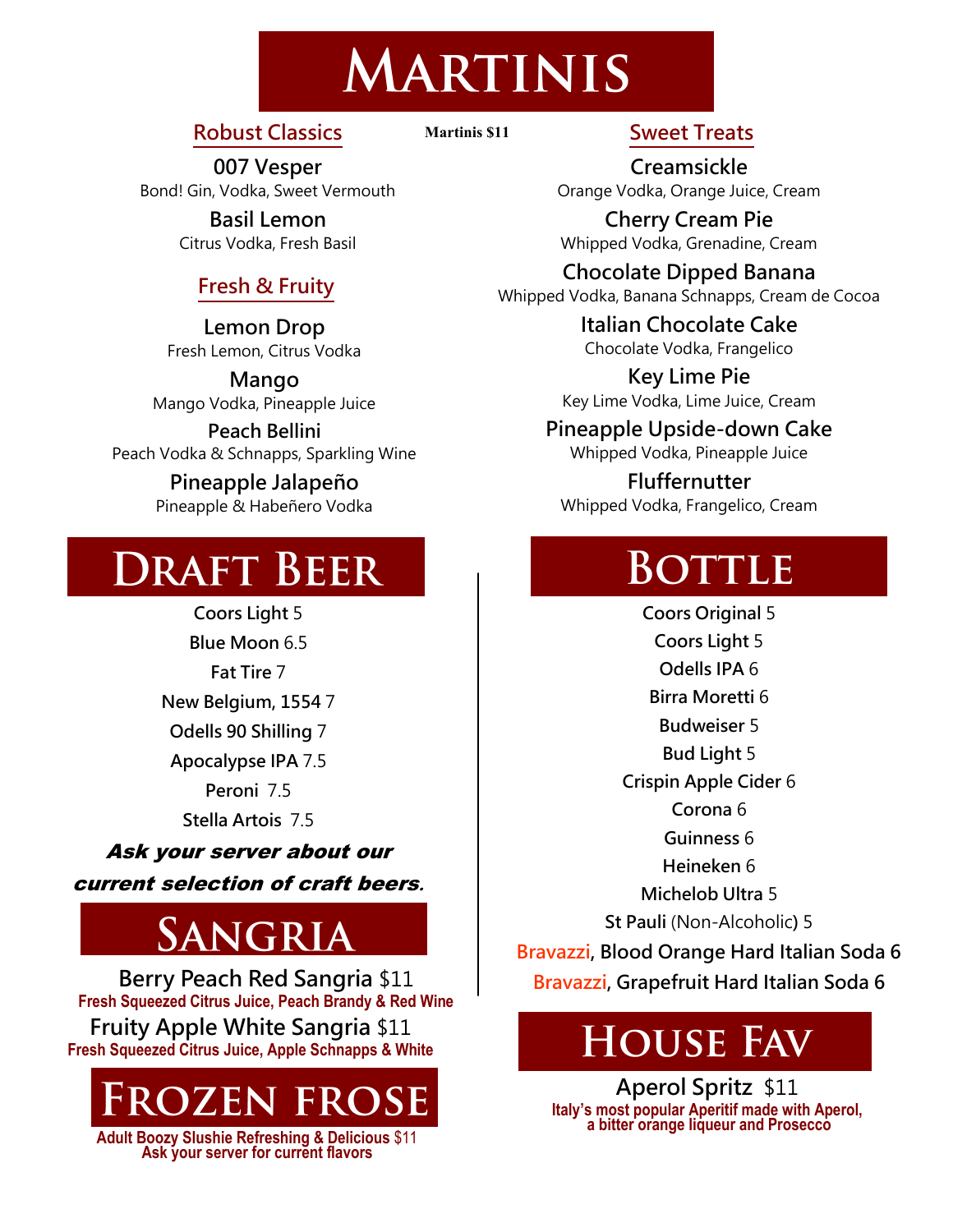## **MARTINIS**

#### **Robust Classics**

**Martinis \$11**

**007 Vesper** Bond! Gin, Vodka, Sweet Vermouth

> **Basil Lemon** Citrus Vodka, Fresh Basil

#### **Fresh & Fruity**

**Lemon Drop** Fresh Lemon, Citrus Vodka

**Mango** Mango Vodka, Pineapple Juice

**Peach Bellini** Peach Vodka & Schnapps, Sparkling Wine

#### **Pineapple Jalapeño** Pineapple & Habeñero Vodka

### **DRAFT BEER**

**Coors Light** 5 **Blue Moon** 6.5 **Fat Tire** 7 **New Belgium, 1554** 7 **Odells 90 Shilling** 7 **Apocalypse IPA** 7.5 Peroni 75 **Stella Artois** 7.5

Ask your server about our current selection of craft beers**.**

### SANGRIA

**Berry Peach Red Sangria** \$11 **Fresh Squeezed Citrus Juice, Peach Brandy & Red Wine Fruity Apple White Sangria** \$11 **Fresh Squeezed Citrus Juice, Apple Schnapps & White** 



**Adult Boozy Slushie Refreshing & Delicious** \$11 **Ask your server for current flavors**

#### **Sweet Treats**

**Creamsickle** Orange Vodka, Orange Juice, Cream

**Cherry Cream Pie** Whipped Vodka, Grenadine, Cream

**Chocolate Dipped Banana** Whipped Vodka, Banana Schnapps, Cream de Cocoa

> **Italian Chocolate Cake** Chocolate Vodka, Frangelico

**Key Lime Pie** Key Lime Vodka, Lime Juice, Cream

**Pineapple Upside-down Cake**

Whipped Vodka, Pineapple Juice

**Fluffernutter** Whipped Vodka, Frangelico, Cream

### BOTTLE

**Coors Original** 5 **Coors Light** 5 **Odells IPA** 6 **Birra Moretti** 6 **Budweiser** 5 **Bud Light** 5 **Crispin Apple Cider** 6 **Corona** 6 **Guinness** 6 **Heineken** 6 **Michelob Ultra** 5 **St Pauli** (Non-Alcoholic**)** 5 **Bravazzi, Blood Orange Hard Italian Soda 6 Bravazzi, Grapefruit Hard Italian Soda 6**

### **HOUSE FAV**

**Aperol Spritz** \$11 **Italy's most popular Aperitif made with Aperol, a bitter orange liqueur and Prosecco**